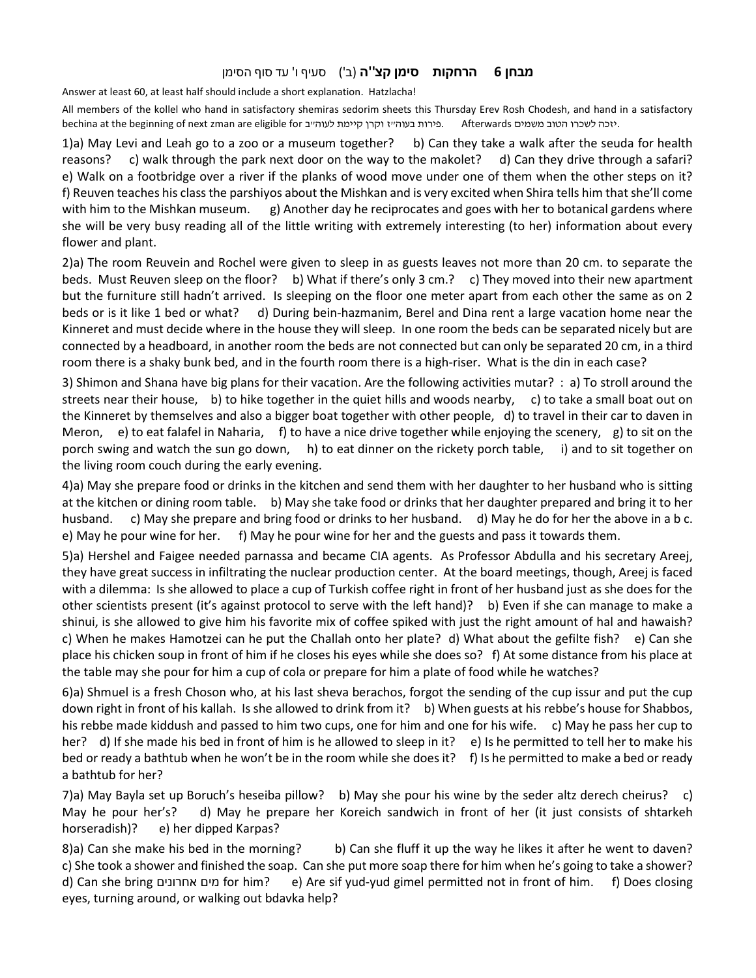## מבחן 6 הרחקות סימן קצ''ה (ב') סעיף ו' עד סוף הסימן

Answer at least 60, at least half should include a short explanation. Hatzlacha!

All members of the kollel who hand in satisfactory shemiras sedorim sheets this Thursday Erev Rosh Chodesh, and hand in a satisfactory bechina at the beginning of next zman are eligible for .פירות בעוה"ז וקרן קיימת לעוה"ב Afterwards . $\alpha$  at the beginning of next zman are eligible for

1)a) May Levi and Leah go to a zoo or a museum together? b) Can they take a walk after the seuda for health reasons? c) walk through the park next door on the way to the makolet? d) Can they drive through a safari? e) Walk on a footbridge over a river if the planks of wood move under one of them when the other steps on it? f) Reuven teaches his class the parshiyos about the Mishkan and is very excited when Shira tells him that she'll come with him to the Mishkan museum. g) Another day he reciprocates and goes with her to botanical gardens where she will be very busy reading all of the little writing with extremely interesting (to her) information about every flower and plant.

2)a) The room Reuvein and Rochel were given to sleep in as guests leaves not more than 20 cm. to separate the beds. Must Reuven sleep on the floor? b) What if there's only 3 cm.? c) They moved into their new apartment but the furniture still hadn't arrived. Is sleeping on the floor one meter apart from each other the same as on 2 beds or is it like 1 bed or what? d) During bein-hazmanim, Berel and Dina rent a large vacation home near the Kinneret and must decide where in the house they will sleep. In one room the beds can be separated nicely but are connected by a headboard, in another room the beds are not connected but can only be separated 20 cm, in a third room there is a shaky bunk bed, and in the fourth room there is a high-riser. What is the din in each case?

3) Shimon and Shana have big plans for their vacation. Are the following activities mutar? : a) To stroll around the streets near their house, b) to hike together in the quiet hills and woods nearby, c) to take a small boat out on the Kinneret by themselves and also a bigger boat together with other people, d) to travel in their car to daven in Meron, e) to eat falafel in Naharia, f) to have a nice drive together while enjoying the scenery, g) to sit on the porch swing and watch the sun go down, h) to eat dinner on the rickety porch table, i) and to sit together on the living room couch during the early evening.

4)a) May she prepare food or drinks in the kitchen and send them with her daughter to her husband who is sitting at the kitchen or dining room table. b) May she take food or drinks that her daughter prepared and bring it to her husband. c) May she prepare and bring food or drinks to her husband. d) May he do for her the above in a b c. e) May he pour wine for her. f) May he pour wine for her and the guests and pass it towards them.

5)a) Hershel and Faigee needed parnassa and became CIA agents. As Professor Abdulla and his secretary Areej, they have great success in infiltrating the nuclear production center. At the board meetings, though, Areej is faced with a dilemma: Is she allowed to place a cup of Turkish coffee right in front of her husband just as she does for the other scientists present (it's against protocol to serve with the left hand)? b) Even if she can manage to make a shinui, is she allowed to give him his favorite mix of coffee spiked with just the right amount of hal and hawaish? c) When he makes Hamotzei can he put the Challah onto her plate? d) What about the gefilte fish? e) Can she place his chicken soup in front of him if he closes his eyes while she does so? f) At some distance from his place at the table may she pour for him a cup of cola or prepare for him a plate of food while he watches?

6)a) Shmuel is a fresh Choson who, at his last sheva berachos, forgot the sending of the cup issur and put the cup down right in front of his kallah. Is she allowed to drink from it? b) When guests at his rebbe's house for Shabbos, his rebbe made kiddush and passed to him two cups, one for him and one for his wife. c) May he pass her cup to her? d) If she made his bed in front of him is he allowed to sleep in it? e) Is he permitted to tell her to make his bed or ready a bathtub when he won't be in the room while she does it? f) Is he permitted to make a bed or ready a bathtub for her?

7)a) May Bayla set up Boruch's heseiba pillow? b) May she pour his wine by the seder altz derech cheirus? c) May he pour her's? d) May he prepare her Koreich sandwich in front of her (it just consists of shtarkeh horseradish)? e) her dipped Karpas?

8)a) Can she make his bed in the morning? b) Can she fluff it up the way he likes it after he went to daven? c) She took a shower and finished the soap. Can she put more soap there for him when he's going to take a shower? d) Can she bring אחרונים מים for him? e) Are sif yud-yud gimel permitted not in front of him. f) Does closing eyes, turning around, or walking out bdavka help?